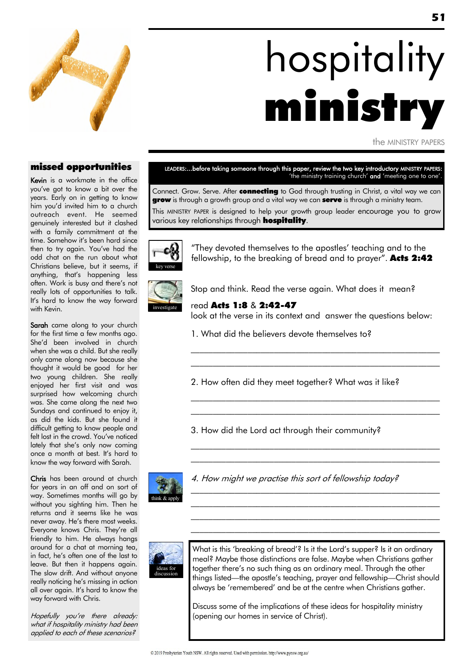

# hospitality ministry

the MINISTRY PAPERS

### missed opportunities

Kevin is a workmate in the office you"ve got to know a bit over the years. Early on in getting to know him you'd invited him to a church outreach event. He seemed genuinely interested but it clashed with a family commitment at the time. Somehow it's been hard since then to try again. You"ve had the odd chat on the run about what Christians believe, but it seems, if anything, that"s happening less often. Work is busy and there"s not really lots of opportunities to talk. It's hard to know the way forward with Kevin.

Sarah came along to your church for the first time a few months ago. She"d been involved in church when she was a child. But she really only came along now because she thought it would be good for her two young children. She really enjoyed her first visit and was surprised how welcoming church was. She came along the next two Sundays and continued to enjoy it, as did the kids. But she found it difficult getting to know people and felt lost in the crowd. You've noticed lately that she's only now coming once a month at best. It"s hard to know the way forward with Sarah.

Chris has been around at church for years in an off and on sort of way. Sometimes months will go by without you sighting him. Then he returns and it seems like he was never away. He's there most weeks. Everyone knows Chris. They"re all friendly to him. He always hangs around for a chat at morning tea, in fact, he"s often one of the last to leave. But then it happens again. The slow drift. And without anyone really noticing he's missing in action all over again. It"s hard to know the way forward with Chris.

Hopefully you"re there already: what if hospitality ministry had been applied to each of these scenarios?

LEADERS:...before taking someone through this paper, review the two key introductory MINISTRY PAPERS: 'the ministry training church' and 'meeting one to one'.

Connect. Grow. Serve. After connecting to God through trusting in Christ, a vital way we can **grow** is through a growth group and a vital way we can **serve** is through a ministry team. This MINISTRY PAPER is designed to help your growth group leader encourage you to grow various key relationships through **hospitality**.



"They devoted themselves to the apostles" teaching and to the fellowship, to the breaking of bread and to prayer". **Acts 2:42** 



Stop and think. Read the verse again. What does it mean?

read Acts 1:8 & 2:42-47 look at the verse in its context and answer the questions below:

 $\mathcal{L}_\text{max}$  and the contract of the contract of the contract of the contract of the contract of the contract of \_\_\_\_\_\_\_\_\_\_\_\_\_\_\_\_\_\_\_\_\_\_\_\_\_\_\_\_\_\_\_\_\_\_\_\_\_\_\_\_\_\_\_\_\_\_\_\_\_\_\_\_\_\_\_\_\_

 $\mathcal{L}_\text{max}$  and the contract of the contract of the contract of the contract of the contract of the contract of \_\_\_\_\_\_\_\_\_\_\_\_\_\_\_\_\_\_\_\_\_\_\_\_\_\_\_\_\_\_\_\_\_\_\_\_\_\_\_\_\_\_\_\_\_\_\_\_\_\_\_\_\_\_\_\_\_

 $\mathcal{L}_\text{max}$  and the contract of the contract of the contract of the contract of the contract of the contract of \_\_\_\_\_\_\_\_\_\_\_\_\_\_\_\_\_\_\_\_\_\_\_\_\_\_\_\_\_\_\_\_\_\_\_\_\_\_\_\_\_\_\_\_\_\_\_\_\_\_\_\_\_\_\_\_\_

\_\_\_\_\_\_\_\_\_\_\_\_\_\_\_\_\_\_\_\_\_\_\_\_\_\_\_\_\_\_\_\_\_\_\_\_\_\_\_\_\_\_\_\_\_\_\_\_\_\_\_\_\_\_\_\_\_ \_\_\_\_\_\_\_\_\_\_\_\_\_\_\_\_\_\_\_\_\_\_\_\_\_\_\_\_\_\_\_\_\_\_\_\_\_\_\_\_\_\_\_\_\_\_\_\_\_\_\_\_\_\_\_\_\_ \_\_\_\_\_\_\_\_\_\_\_\_\_\_\_\_\_\_\_\_\_\_\_\_\_\_\_\_\_\_\_\_\_\_\_\_\_\_\_\_\_\_\_\_\_\_\_\_\_\_\_\_\_\_\_\_\_ \_\_\_\_\_\_\_\_\_\_\_\_\_\_\_\_\_\_\_\_\_\_\_\_\_\_\_\_\_\_\_\_\_\_\_\_\_\_\_\_\_\_\_\_\_\_\_\_\_\_\_\_\_\_\_\_\_

- 1. What did the believers devote themselves to?
- 2. How often did they meet together? What was it like?

3. How did the Lord act through their community?



4. How might we practise this sort of fellowship today?



What is this 'breaking of bread'? Is it the Lord's supper? Is it an ordinary meal? Maybe those distinctions are false. Maybe when Christians gather together there"s no such thing as an ordinary meal. Through the other things listed—the apostle"s teaching, prayer and fellowship—Christ should always be "remembered" and be at the centre when Christians gather.

Discuss some of the implications of these ideas for hospitality ministry (opening our homes in service of Christ).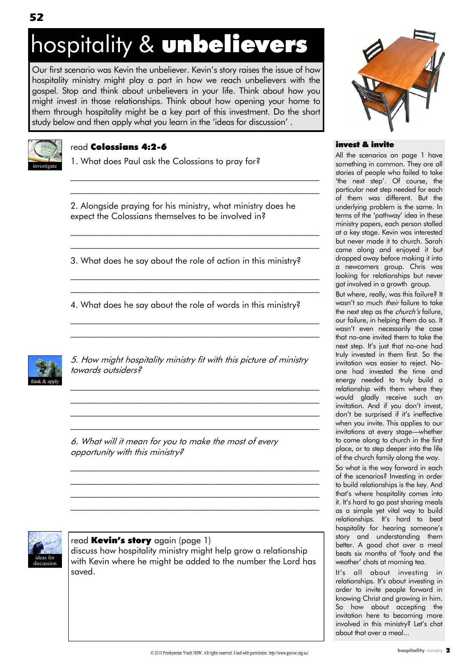## hospitality & unbelievers

Our first scenario was Kevin the unbeliever. Kevin"s story raises the issue of how hospitality ministry might play a part in how we reach unbelievers with the gospel. Stop and think about unbelievers in your life. Think about how you might invest in those relationships. Think about how opening your home to them through hospitality might be a key part of this investment. Do the short study below and then apply what you learn in the "ideas for discussion" .



### read Colossians 4:2-6

1. What does Paul ask the Colossians to pray for?

2. Alongside praying for his ministry, what ministry does he expect the Colossians themselves to be involved in?

 $\mathcal{L}_\text{max}$  and the contract of the contract of the contract of the contract of the contract of the contract of  $\mathcal{L}_\text{max}$  and the contract of the contract of the contract of the contract of the contract of the contract of

 $\mathcal{L}_\text{max}$  and the contract of the contract of the contract of the contract of the contract of the contract of  $\mathcal{L}_\text{max}$  and the contract of the contract of the contract of the contract of the contract of the contract of

\_\_\_\_\_\_\_\_\_\_\_\_\_\_\_\_\_\_\_\_\_\_\_\_\_\_\_\_\_\_\_\_\_\_\_\_\_\_\_\_\_\_\_\_\_\_\_\_\_\_\_\_\_\_\_\_\_ \_\_\_\_\_\_\_\_\_\_\_\_\_\_\_\_\_\_\_\_\_\_\_\_\_\_\_\_\_\_\_\_\_\_\_\_\_\_\_\_\_\_\_\_\_\_\_\_\_\_\_\_\_\_\_\_\_

\_\_\_\_\_\_\_\_\_\_\_\_\_\_\_\_\_\_\_\_\_\_\_\_\_\_\_\_\_\_\_\_\_\_\_\_\_\_\_\_\_\_\_\_\_\_\_\_\_\_\_\_\_\_\_\_\_ \_\_\_\_\_\_\_\_\_\_\_\_\_\_\_\_\_\_\_\_\_\_\_\_\_\_\_\_\_\_\_\_\_\_\_\_\_\_\_\_\_\_\_\_\_\_\_\_\_\_\_\_\_\_\_\_\_

3. What does he say about the role of action in this ministry?

4. What does he say about the role of words in this ministry?



5. How might hospitality ministry fit with this picture of ministry towards outsiders?

\_\_\_\_\_\_\_\_\_\_\_\_\_\_\_\_\_\_\_\_\_\_\_\_\_\_\_\_\_\_\_\_\_\_\_\_\_\_\_\_\_\_\_\_\_\_\_\_\_\_\_\_\_\_\_\_\_ \_\_\_\_\_\_\_\_\_\_\_\_\_\_\_\_\_\_\_\_\_\_\_\_\_\_\_\_\_\_\_\_\_\_\_\_\_\_\_\_\_\_\_\_\_\_\_\_\_\_\_\_\_\_\_\_\_ \_\_\_\_\_\_\_\_\_\_\_\_\_\_\_\_\_\_\_\_\_\_\_\_\_\_\_\_\_\_\_\_\_\_\_\_\_\_\_\_\_\_\_\_\_\_\_\_\_\_\_\_\_\_\_\_\_ \_\_\_\_\_\_\_\_\_\_\_\_\_\_\_\_\_\_\_\_\_\_\_\_\_\_\_\_\_\_\_\_\_\_\_\_\_\_\_\_\_\_\_\_\_\_\_\_\_\_\_\_\_\_\_\_\_

\_\_\_\_\_\_\_\_\_\_\_\_\_\_\_\_\_\_\_\_\_\_\_\_\_\_\_\_\_\_\_\_\_\_\_\_\_\_\_\_\_\_\_\_\_\_\_\_\_\_\_\_\_\_\_\_\_ \_\_\_\_\_\_\_\_\_\_\_\_\_\_\_\_\_\_\_\_\_\_\_\_\_\_\_\_\_\_\_\_\_\_\_\_\_\_\_\_\_\_\_\_\_\_\_\_\_\_\_\_\_\_\_\_\_ \_\_\_\_\_\_\_\_\_\_\_\_\_\_\_\_\_\_\_\_\_\_\_\_\_\_\_\_\_\_\_\_\_\_\_\_\_\_\_\_\_\_\_\_\_\_\_\_\_\_\_\_\_\_\_\_\_ \_\_\_\_\_\_\_\_\_\_\_\_\_\_\_\_\_\_\_\_\_\_\_\_\_\_\_\_\_\_\_\_\_\_\_\_\_\_\_\_\_\_\_\_\_\_\_\_\_\_\_\_\_\_\_\_\_

6. What will it mean for you to make the most of every opportunity with this ministry?



read **Kevin's story** again (page 1)

discuss how hospitality ministry might help grow a relationship with Kevin where he might be added to the number the Lord has saved.



### invest & invite

All the scenarios on page 1 have something in common. They are all stories of people who failed to take 'the next step'. Of course, the particular next step needed for each of them was different. But the underlying problem is the same. In terms of the "pathway" idea in these ministry papers, each person stalled at a key stage. Kevin was interested but never made it to church. Sarah came along and enjoyed it but dropped away before making it into a newcomers group. Chris was looking for relationships but never got involved in a growth group.

But where, really, was this failure? It wasn't so much *their* failure to take the next step as the *church's* failure, our failure, in helping them do so. It wasn"t even necessarily the case that no-one invited them to take the next step. It's just that no-one had truly invested in them first. So the invitation was easier to reject. Noone had invested the time and energy needed to truly build a relationship with them where they would gladly receive such an invitation. And if you don't invest, don"t be surprised if it"s ineffective when you invite. This applies to our invitations at every stage—whether to come along to church in the first place, or to step deeper into the life of the church family along the way. So what is the way forward in each of the scenarios? Investing in order to build relationships is the key. And that"s where hospitality comes into it. It"s hard to go past sharing meals as a simple yet vital way to build relationships. It's hard to beat hospitality for hearing someone's story and understanding them

better. A good chat over a meal beats six months of "footy and the weather' chats at morning tea.

It"s all about investing in relationships. It's about investing in order to invite people forward in knowing Christ and growing in him. So how about accepting the invitation here to becoming more involved in this ministry? Let's chat about that over a meal...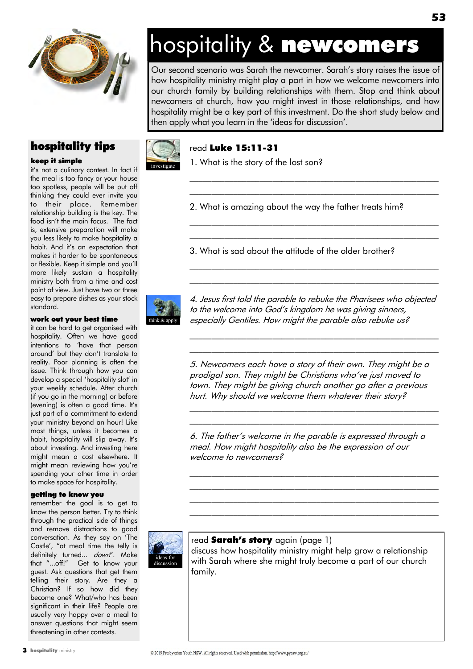

### hospitality tips

#### keep it simple

it's not a culinary contest. In fact if the meal is too fancy or your house too spotless, people will be put off thinking they could ever invite you to their place. Remember relationship building is the key. The food isn"t the main focus. The fact is, extensive preparation will make you less likely to make hospitality a habit. And it's an expectation that makes it harder to be spontaneous or flexible. Keep it simple and you"ll more likely sustain a hospitality ministry both from a time and cost point of view. Just have two or three easy to prepare dishes as your stock standard.

#### work out your best time

it can be hard to get organised with hospitality. Often we have good intentions to "have that person around" but they don"t translate to reality. Poor planning is often the issue. Think through how you can develop a special "hospitality slot" in your weekly schedule. After church (if you go in the morning) or before (evening) is often a good time. It's just part of a commitment to extend your ministry beyond an hour! Like most things, unless it becomes a habit, hospitality will slip away. It's about investing. And investing here might mean a cost elsewhere. It might mean reviewing how you"re spending your other time in order to make space for hospitality.

#### getting to know you

remember the goal is to get to know the person better. Try to think through the practical side of things and remove distractions to good conversation. As they say on "The Castle", "at meal time the telly is definitely turned... down". Make that "...off!" Get to know your guest. Ask questions that get them telling their story. Are they a Christian? If so how did they become one? What/who has been significant in their life? People are usually very happy over a meal to answer questions that might seem threatening in other contexts.

### hospitality & newcomers

Our second scenario was Sarah the newcomer. Sarah"s story raises the issue of how hospitality ministry might play a part in how we welcome newcomers into our church family by building relationships with them. Stop and think about newcomers at church, how you might invest in those relationships, and how hospitality might be a key part of this investment. Do the short study below and then apply what you learn in the "ideas for discussion".



investigate

### read Luke 15:11-31

1. What is the story of the lost son?

2. What is amazing about the way the father treats him?

 $\mathcal{L}_\text{max}$  and the contract of the contract of the contract of the contract of the contract of the contract of  $\mathcal{L}_\text{max}$  and the contract of the contract of the contract of the contract of the contract of the contract of

\_\_\_\_\_\_\_\_\_\_\_\_\_\_\_\_\_\_\_\_\_\_\_\_\_\_\_\_\_\_\_\_\_\_\_\_\_\_\_\_\_\_\_\_\_\_\_\_\_\_\_\_\_\_\_\_\_ \_\_\_\_\_\_\_\_\_\_\_\_\_\_\_\_\_\_\_\_\_\_\_\_\_\_\_\_\_\_\_\_\_\_\_\_\_\_\_\_\_\_\_\_\_\_\_\_\_\_\_\_\_\_\_\_\_

\_\_\_\_\_\_\_\_\_\_\_\_\_\_\_\_\_\_\_\_\_\_\_\_\_\_\_\_\_\_\_\_\_\_\_\_\_\_\_\_\_\_\_\_\_\_\_\_\_\_\_\_\_\_\_\_\_ \_\_\_\_\_\_\_\_\_\_\_\_\_\_\_\_\_\_\_\_\_\_\_\_\_\_\_\_\_\_\_\_\_\_\_\_\_\_\_\_\_\_\_\_\_\_\_\_\_\_\_\_\_\_\_\_\_

3. What is sad about the attitude of the older brother?



4. Jesus first told the parable to rebuke the Pharisees who objected to the welcome into God's kingdom he was giving sinners, especially Gentiles. How might the parable also rebuke us?

 $\mathcal{L}_\text{max}$  and the contract of the contract of the contract of the contract of the contract of the contract of  $\mathcal{L}_\text{max}$  and the contract of the contract of the contract of the contract of the contract of the contract of

5. Newcomers each have a story of their own. They might be a prodigal son. They might be Christians who've just moved to town. They might be giving church another go after a previous hurt. Why should we welcome them whatever their story?

 $\mathcal{L}_\text{max}$  and the contract of the contract of the contract of the contract of the contract of the contract of \_\_\_\_\_\_\_\_\_\_\_\_\_\_\_\_\_\_\_\_\_\_\_\_\_\_\_\_\_\_\_\_\_\_\_\_\_\_\_\_\_\_\_\_\_\_\_\_\_\_\_\_\_\_\_\_\_

6. The father"s welcome in the parable is expressed through a meal. How might hospitality also be the expression of our welcome to newcomers?

 $\mathcal{L}_\text{max}$  and the contract of the contract of the contract of the contract of the contract of the contract of \_\_\_\_\_\_\_\_\_\_\_\_\_\_\_\_\_\_\_\_\_\_\_\_\_\_\_\_\_\_\_\_\_\_\_\_\_\_\_\_\_\_\_\_\_\_\_\_\_\_\_\_\_\_\_\_\_  $\mathcal{L}_\text{max}$  and the contract of the contract of the contract of the contract of the contract of the contract of \_\_\_\_\_\_\_\_\_\_\_\_\_\_\_\_\_\_\_\_\_\_\_\_\_\_\_\_\_\_\_\_\_\_\_\_\_\_\_\_\_\_\_\_\_\_\_\_\_\_\_\_\_\_\_\_\_



### read **Sarah's story** again (page 1)

discuss how hospitality ministry might help grow a relationship with Sarah where she might truly become a part of our church family.